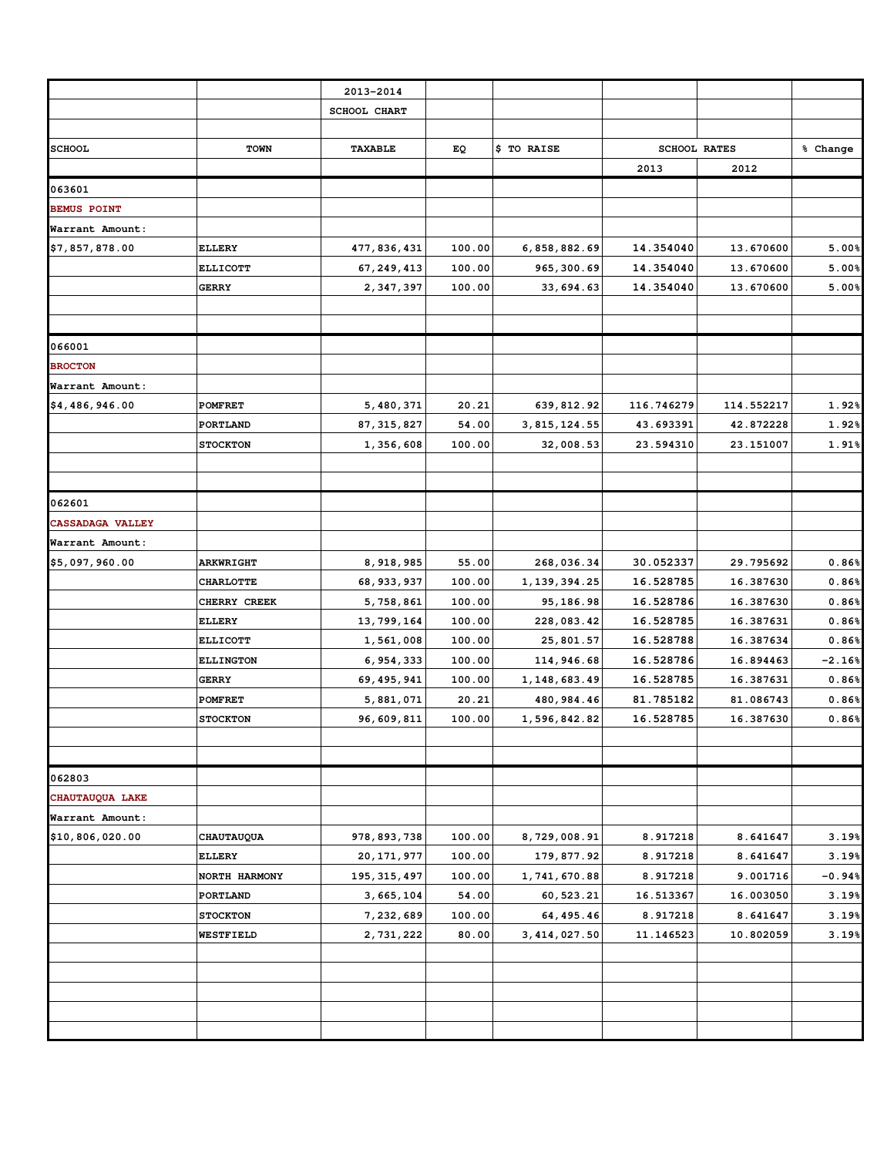|                         |                  | 2013-2014      |        |                |            |                     |          |
|-------------------------|------------------|----------------|--------|----------------|------------|---------------------|----------|
|                         |                  | SCHOOL CHART   |        |                |            |                     |          |
|                         |                  |                |        |                |            |                     |          |
| <b>SCHOOL</b>           | <b>TOWN</b>      | <b>TAXABLE</b> | ЕQ     | \$ TO RAISE    |            | <b>SCHOOL RATES</b> | % Change |
|                         |                  |                |        |                | 2013       | 2012                |          |
| 063601                  |                  |                |        |                |            |                     |          |
| <b>BEMUS POINT</b>      |                  |                |        |                |            |                     |          |
| Warrant Amount:         |                  |                |        |                |            |                     |          |
| \$7,857,878.00          | <b>ELLERY</b>    | 477,836,431    | 100.00 | 6,858,882.69   | 14.354040  | 13.670600           | 5.00%    |
|                         | <b>ELLICOTT</b>  | 67, 249, 413   | 100.00 | 965, 300.69    | 14.354040  | 13.670600           | 5.00%    |
|                         | <b>GERRY</b>     | 2,347,397      | 100.00 | 33,694.63      | 14.354040  | 13.670600           | 5.00%    |
|                         |                  |                |        |                |            |                     |          |
| 066001                  |                  |                |        |                |            |                     |          |
| <b>BROCTON</b>          |                  |                |        |                |            |                     |          |
| Warrant Amount:         |                  |                |        |                |            |                     |          |
| \$4,486,946.00          | <b>POMFRET</b>   | 5,480,371      | 20.21  | 639, 812.92    | 116.746279 | 114.552217          | 1.92%    |
|                         | PORTLAND         | 87, 315, 827   | 54.00  | 3, 815, 124.55 | 43.693391  | 42.872228           | 1.92%    |
|                         | <b>STOCKTON</b>  | 1,356,608      | 100.00 | 32,008.53      | 23.594310  | 23.151007           | 1.91%    |
|                         |                  |                |        |                |            |                     |          |
| 062601                  |                  |                |        |                |            |                     |          |
| <b>CASSADAGA VALLEY</b> |                  |                |        |                |            |                     |          |
| Warrant Amount:         |                  |                |        |                |            |                     |          |
| \$5,097,960.00          | <b>ARKWRIGHT</b> | 8,918,985      | 55.00  | 268,036.34     | 30.052337  | 29.795692           | 0.86%    |
|                         | <b>CHARLOTTE</b> | 68, 933, 937   | 100.00 | 1, 139, 394.25 | 16.528785  | 16.387630           | 0.86%    |
|                         | CHERRY CREEK     | 5,758,861      | 100.00 | 95,186.98      | 16.528786  | 16.387630           | 0.86%    |
|                         | ELLERY           | 13,799,164     | 100.00 | 228,083.42     | 16.528785  | 16.387631           | 0.86%    |
|                         | <b>ELLICOTT</b>  | 1,561,008      | 100.00 | 25,801.57      | 16.528788  | 16.387634           | 0.86%    |
|                         | <b>ELLINGTON</b> | 6,954,333      | 100.00 | 114,946.68     | 16.528786  | 16.894463           | $-2.16%$ |
|                         | <b>GERRY</b>     | 69, 495, 941   | 100.00 | 1, 148, 683.49 | 16.528785  | 16.387631           | 0.86%    |
|                         | <b>POMFRET</b>   | 5,881,071      | 20.21  | 480, 984.46    | 81.785182  | 81.086743           | 0.86%    |
|                         | <b>STOCKTON</b>  | 96,609,811     | 100.00 | 1,596,842.82   | 16.528785  | 16.387630           | 0.86%    |
| 062803                  |                  |                |        |                |            |                     |          |
| CHAUTAUQUA LAKE         |                  |                |        |                |            |                     |          |
| Warrant Amount:         |                  |                |        |                |            |                     |          |
| \$10,806,020.00         | CHAUTAUQUA       | 978,893,738    | 100.00 | 8,729,008.91   | 8.917218   | 8.641647            | 3.19%    |
|                         | <b>ELLERY</b>    | 20, 171, 977   | 100.00 | 179,877.92     | 8.917218   | 8.641647            | 3.19%    |
|                         | NORTH HARMONY    | 195, 315, 497  | 100.00 | 1,741,670.88   | 8.917218   | 9.001716            | $-0.94%$ |
|                         | PORTLAND         | 3,665,104      | 54.00  | 60,523.21      | 16.513367  | 16.003050           | 3.19%    |
|                         | <b>STOCKTON</b>  | 7,232,689      | 100.00 | 64, 495.46     | 8.917218   | 8.641647            | 3.19%    |
|                         | WESTFIELD        | 2,731,222      | 80.00  | 3, 414, 027.50 | 11.146523  | 10.802059           | 3.19%    |
|                         |                  |                |        |                |            |                     |          |
|                         |                  |                |        |                |            |                     |          |
|                         |                  |                |        |                |            |                     |          |
|                         |                  |                |        |                |            |                     |          |
|                         |                  |                |        |                |            |                     |          |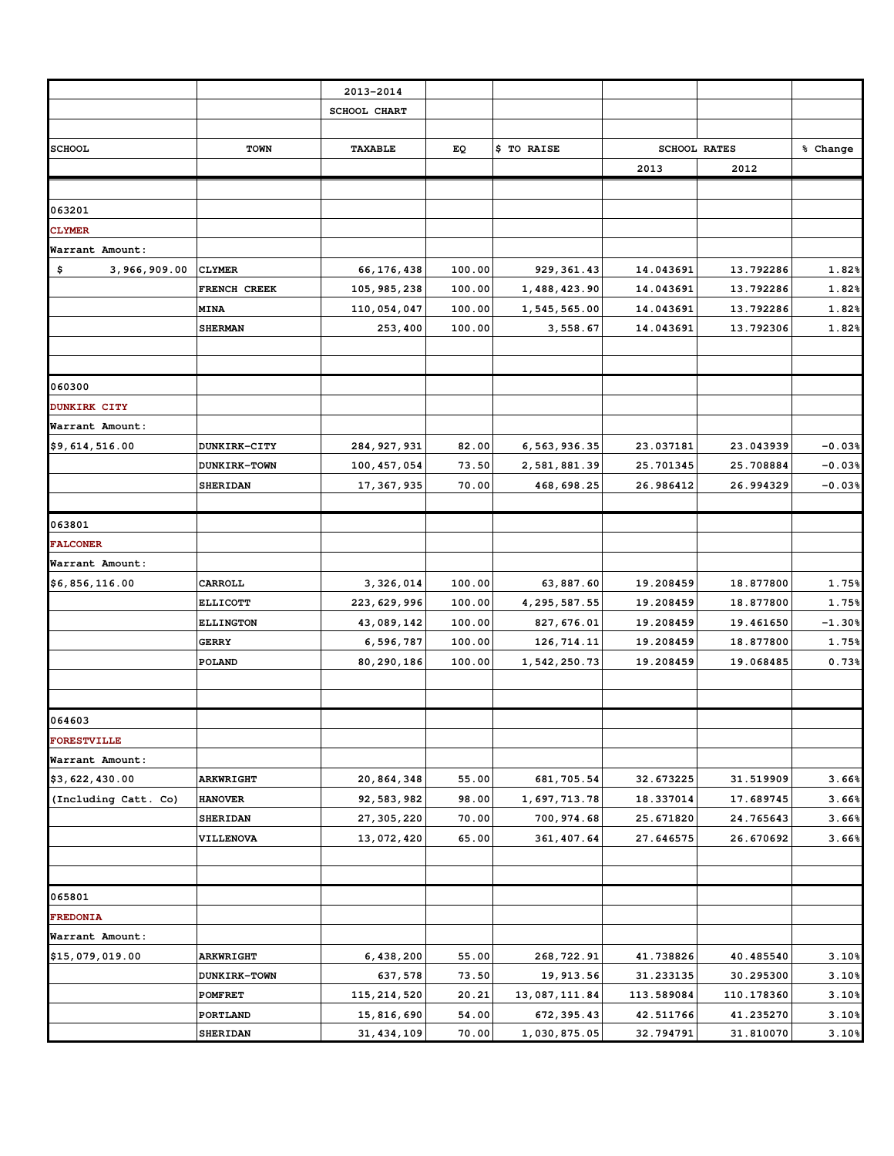|                      |                  | 2013-2014      |        |                |            |                     |          |
|----------------------|------------------|----------------|--------|----------------|------------|---------------------|----------|
|                      |                  | SCHOOL CHART   |        |                |            |                     |          |
| <b>SCHOOL</b>        | <b>TOWN</b>      | <b>TAXABLE</b> | EQ     | \$ TO RAISE    |            | <b>SCHOOL RATES</b> | % Change |
|                      |                  |                |        |                | 2013       | 2012                |          |
|                      |                  |                |        |                |            |                     |          |
| 063201               |                  |                |        |                |            |                     |          |
| <b>CLYMER</b>        |                  |                |        |                |            |                     |          |
| Warrant Amount:      |                  |                |        |                |            |                     |          |
| \$<br>3,966,909.00   | <b>CLYMER</b>    | 66,176,438     | 100.00 | 929, 361.43    | 14.043691  | 13.792286           | 1.82%    |
|                      | FRENCH CREEK     | 105, 985, 238  | 100.00 | 1,488,423.90   | 14.043691  | 13.792286           | 1.82%    |
|                      | <b>MINA</b>      | 110,054,047    | 100.00 | 1,545,565.00   | 14.043691  | 13.792286           | 1.82%    |
|                      | <b>SHERMAN</b>   | 253,400        | 100.00 | 3,558.67       | 14.043691  | 13.792306           | 1.82%    |
|                      |                  |                |        |                |            |                     |          |
| 060300               |                  |                |        |                |            |                     |          |
| <b>DUNKIRK CITY</b>  |                  |                |        |                |            |                     |          |
| Warrant Amount:      |                  |                |        |                |            |                     |          |
| \$9,614,516.00       | DUNKIRK-CITY     | 284, 927, 931  | 82.00  | 6, 563, 936.35 | 23.037181  | 23.043939           | $-0.03%$ |
|                      | DUNKIRK-TOWN     | 100, 457, 054  | 73.50  | 2,581,881.39   | 25.701345  | 25.708884           | $-0.03%$ |
|                      | <b>SHERIDAN</b>  | 17, 367, 935   | 70.00  | 468,698.25     | 26.986412  | 26.994329           | $-0.03%$ |
| 063801               |                  |                |        |                |            |                     |          |
| <b>FALCONER</b>      |                  |                |        |                |            |                     |          |
| Warrant Amount:      |                  |                |        |                |            |                     |          |
| \$6,856,116.00       | CARROLL          | 3,326,014      | 100.00 | 63,887.60      | 19.208459  | 18.877800           | 1.75%    |
|                      | <b>ELLICOTT</b>  | 223, 629, 996  | 100.00 | 4, 295, 587.55 | 19.208459  | 18.877800           | 1.75%    |
|                      | <b>ELLINGTON</b> | 43,089,142     | 100.00 | 827, 676.01    | 19.208459  | 19.461650           | $-1.30%$ |
|                      | <b>GERRY</b>     | 6,596,787      | 100.00 | 126,714.11     | 19.208459  | 18.877800           | 1.75%    |
|                      | POLAND           | 80,290,186     | 100.00 | 1,542,250.73   | 19.208459  | 19.068485           | 0.73%    |
| 064603               |                  |                |        |                |            |                     |          |
| <b>FORESTVILLE</b>   |                  |                |        |                |            |                     |          |
| Warrant Amount:      |                  |                |        |                |            |                     |          |
| \$3,622,430.00       | <b>ARKWRIGHT</b> | 20,864,348     | 55.00  | 681, 705.54    | 32.673225  | 31.519909           | 3.66%    |
| (Including Catt. Co) | <b>HANOVER</b>   | 92,583,982     | 98.00  | 1,697,713.78   | 18.337014  | 17.689745           | 3.66%    |
|                      | <b>SHERIDAN</b>  | 27, 305, 220   | 70.00  | 700,974.68     | 25.671820  | 24.765643           | 3.66%    |
|                      | VILLENOVA        | 13,072,420     | 65.00  | 361, 407.64    | 27.646575  | 26.670692           | 3.66%    |
|                      |                  |                |        |                |            |                     |          |
| 065801               |                  |                |        |                |            |                     |          |
| <b>FREDONIA</b>      |                  |                |        |                |            |                     |          |
| Warrant Amount:      |                  |                |        |                |            |                     |          |
| \$15,079,019.00      | ARKWRIGHT        | 6,438,200      | 55.00  | 268, 722.91    | 41.738826  | 40.485540           | 3.10%    |
|                      | DUNKIRK-TOWN     | 637,578        | 73.50  | 19, 913.56     | 31.233135  | 30.295300           | 3.10%    |
|                      | POMFRET          | 115, 214, 520  | 20.21  | 13,087,111.84  | 113.589084 | 110.178360          | 3.10%    |
|                      | PORTLAND         | 15,816,690     | 54.00  | 672, 395.43    | 42.511766  | 41.235270           | 3.10%    |
|                      | <b>SHERIDAN</b>  | 31, 434, 109   | 70.00  | 1,030,875.05   | 32.794791  | 31.810070           | 3.10%    |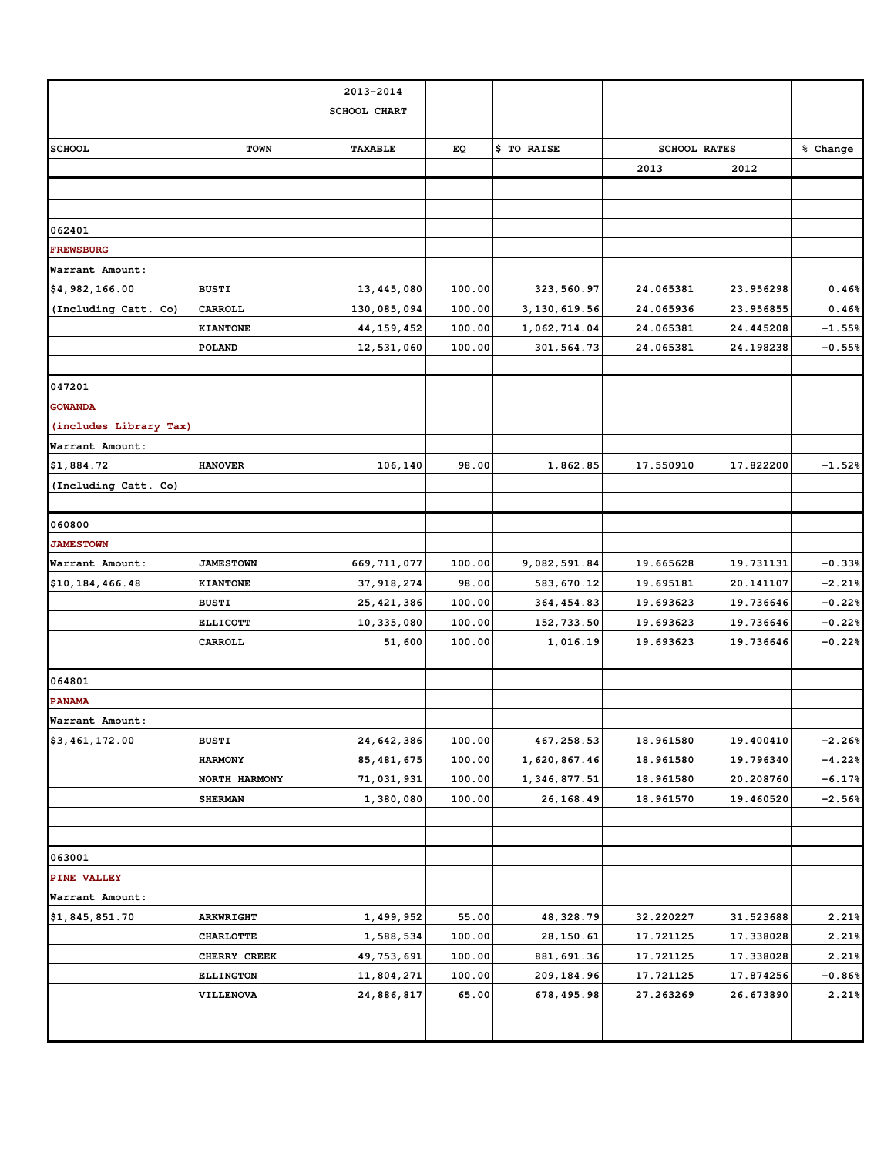|                        |                  | 2013-2014      |        |                |           |                     |          |
|------------------------|------------------|----------------|--------|----------------|-----------|---------------------|----------|
|                        |                  | SCHOOL CHART   |        |                |           |                     |          |
| <b>SCHOOL</b>          | <b>TOWN</b>      | <b>TAXABLE</b> | EQ     | \$ TO RAISE    |           | <b>SCHOOL RATES</b> | % Change |
|                        |                  |                |        |                | 2013      | 2012                |          |
|                        |                  |                |        |                |           |                     |          |
|                        |                  |                |        |                |           |                     |          |
| 062401                 |                  |                |        |                |           |                     |          |
| <b>FREWSBURG</b>       |                  |                |        |                |           |                     |          |
| Warrant Amount:        |                  |                |        |                |           |                     |          |
| \$4,982,166.00         | <b>BUSTI</b>     | 13, 445, 080   | 100.00 | 323, 560.97    | 24.065381 | 23.956298           | 0.46%    |
| (Including Catt. Co)   | CARROLL          | 130,085,094    | 100.00 | 3, 130, 619.56 | 24.065936 | 23.956855           | 0.46%    |
|                        | KIANTONE         | 44, 159, 452   | 100.00 | 1,062,714.04   | 24.065381 | 24.445208           | $-1.55%$ |
|                        | POLAND           | 12,531,060     | 100.00 | 301,564.73     | 24.065381 | 24.198238           | $-0.55%$ |
|                        |                  |                |        |                |           |                     |          |
| 047201                 |                  |                |        |                |           |                     |          |
| <b>GOWANDA</b>         |                  |                |        |                |           |                     |          |
| (includes Library Tax) |                  |                |        |                |           |                     |          |
| Warrant Amount:        |                  |                |        |                |           |                     |          |
| \$1,884.72             | <b>HANOVER</b>   | 106,140        | 98.00  | 1,862.85       | 17.550910 | 17.822200           | $-1.52%$ |
| (Including Catt. Co)   |                  |                |        |                |           |                     |          |
|                        |                  |                |        |                |           |                     |          |
| 060800                 |                  |                |        |                |           |                     |          |
| <b>JAMESTOWN</b>       |                  |                |        |                |           |                     |          |
| Warrant Amount:        | <b>JAMESTOWN</b> | 669, 711, 077  | 100.00 | 9,082,591.84   | 19.665628 | 19.731131           | $-0.33%$ |
| \$10,184,466.48        | <b>KIANTONE</b>  | 37, 918, 274   | 98.00  | 583,670.12     | 19.695181 | 20.141107           | $-2.21%$ |
|                        | <b>BUSTI</b>     | 25, 421, 386   | 100.00 | 364, 454.83    | 19.693623 | 19.736646           | $-0.22%$ |
|                        | <b>ELLICOTT</b>  | 10, 335, 080   | 100.00 | 152, 733.50    | 19.693623 | 19.736646           | $-0.22%$ |
|                        | CARROLL          | 51,600         | 100.00 | 1,016.19       | 19.693623 | 19.736646           | $-0.22%$ |
|                        |                  |                |        |                |           |                     |          |
| 064801                 |                  |                |        |                |           |                     |          |
| <b>PANAMA</b>          |                  |                |        |                |           |                     |          |
| Warrant Amount:        |                  |                |        |                |           |                     |          |
| \$3,461,172.00         | <b>BUSTI</b>     | 24,642,386     | 100.00 | 467, 258.53    | 18.961580 | 19.400410           | $-2.26%$ |
|                        | <b>HARMONY</b>   | 85, 481, 675   | 100.00 | 1,620,867.46   | 18.961580 | 19.796340           | $-4.22%$ |
|                        | NORTH HARMONY    | 71,031,931     | 100.00 | 1,346,877.51   | 18.961580 | 20.208760           | $-6.17%$ |
|                        | <b>SHERMAN</b>   | 1,380,080      | 100.00 | 26,168.49      | 18.961570 | 19.460520           | $-2.56%$ |
|                        |                  |                |        |                |           |                     |          |
|                        |                  |                |        |                |           |                     |          |
| 063001                 |                  |                |        |                |           |                     |          |
| PINE VALLEY            |                  |                |        |                |           |                     |          |
| Warrant Amount:        |                  |                |        |                |           |                     |          |
| \$1,845,851.70         | <b>ARKWRIGHT</b> | 1,499,952      | 55.00  | 48,328.79      | 32.220227 | 31.523688           | 2.21%    |
|                        | <b>CHARLOTTE</b> | 1,588,534      | 100.00 | 28, 150.61     | 17.721125 | 17.338028           | 2.21%    |
|                        | CHERRY CREEK     | 49, 753, 691   | 100.00 | 881, 691.36    | 17.721125 | 17.338028           | 2.21%    |
|                        | <b>ELLINGTON</b> | 11,804,271     | 100.00 | 209, 184.96    | 17.721125 | 17.874256           | $-0.86%$ |
|                        | VILLENOVA        | 24,886,817     | 65.00  | 678,495.98     | 27.263269 | 26.673890           | 2.21%    |
|                        |                  |                |        |                |           |                     |          |
|                        |                  |                |        |                |           |                     |          |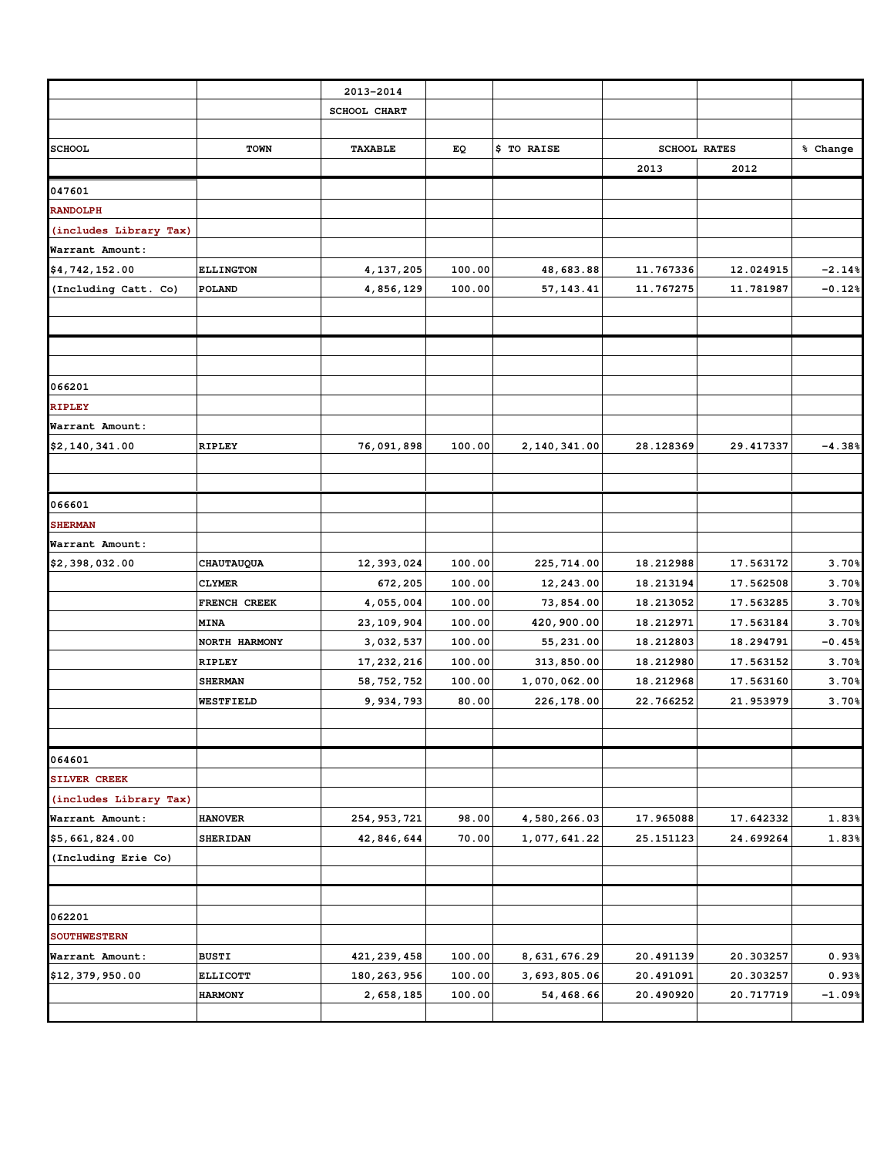|                        |                  | 2013-2014      |        |                |           |                     |          |
|------------------------|------------------|----------------|--------|----------------|-----------|---------------------|----------|
|                        |                  | SCHOOL CHART   |        |                |           |                     |          |
|                        |                  |                |        |                |           |                     |          |
| <b>SCHOOL</b>          | <b>TOWN</b>      | <b>TAXABLE</b> | EQ     | \$ TO RAISE    |           | <b>SCHOOL RATES</b> | % Change |
|                        |                  |                |        |                | 2013      | 2012                |          |
| 047601                 |                  |                |        |                |           |                     |          |
| <b>RANDOLPH</b>        |                  |                |        |                |           |                     |          |
| (includes Library Tax) |                  |                |        |                |           |                     |          |
| Warrant Amount:        |                  |                |        |                |           |                     |          |
| \$4,742,152.00         | <b>ELLINGTON</b> | 4, 137, 205    | 100.00 | 48,683.88      | 11.767336 | 12.024915           | $-2.14%$ |
| (Including Catt. Co)   | POLAND           | 4,856,129      | 100.00 | 57, 143.41     | 11.767275 | 11.781987           | $-0.12%$ |
|                        |                  |                |        |                |           |                     |          |
|                        |                  |                |        |                |           |                     |          |
|                        |                  |                |        |                |           |                     |          |
|                        |                  |                |        |                |           |                     |          |
| 066201                 |                  |                |        |                |           |                     |          |
| <b>RIPLEY</b>          |                  |                |        |                |           |                     |          |
| Warrant Amount:        |                  |                |        |                |           |                     |          |
| \$2,140,341.00         | <b>RIPLEY</b>    | 76,091,898     | 100.00 | 2, 140, 341.00 | 28.128369 | 29.417337           | $-4.38%$ |
|                        |                  |                |        |                |           |                     |          |
|                        |                  |                |        |                |           |                     |          |
| 066601                 |                  |                |        |                |           |                     |          |
| <b>SHERMAN</b>         |                  |                |        |                |           |                     |          |
| Warrant Amount:        |                  |                |        |                |           |                     |          |
| \$2,398,032.00         | CHAUTAUQUA       | 12, 393, 024   | 100.00 | 225, 714.00    | 18.212988 | 17.563172           | 3.70%    |
|                        | <b>CLYMER</b>    | 672,205        | 100.00 | 12,243.00      | 18.213194 | 17.562508           | 3.70%    |
|                        | FRENCH CREEK     | 4,055,004      | 100.00 | 73,854.00      | 18.213052 | 17.563285           | 3.70%    |
|                        | <b>MINA</b>      | 23, 109, 904   | 100.00 | 420,900.00     | 18.212971 | 17.563184           | 3.70%    |
|                        | NORTH HARMONY    | 3,032,537      | 100.00 | 55,231.00      | 18.212803 | 18.294791           | $-0.45%$ |
|                        | <b>RIPLEY</b>    | 17, 232, 216   | 100.00 | 313,850.00     | 18.212980 | 17.563152           | 3.70%    |
|                        | <b>SHERMAN</b>   | 58, 752, 752   | 100.00 | 1,070,062.00   | 18.212968 | 17.563160           | 3.70%    |
|                        | WESTFIELD        | 9,934,793      | 80.00  | 226, 178.00    | 22.766252 | 21.953979           | 3.70%    |
|                        |                  |                |        |                |           |                     |          |
|                        |                  |                |        |                |           |                     |          |
| 064601                 |                  |                |        |                |           |                     |          |
| <b>SILVER CREEK</b>    |                  |                |        |                |           |                     |          |
| (includes Library Tax) |                  |                |        |                |           |                     |          |
| Warrant Amount:        | <b>HANOVER</b>   | 254, 953, 721  | 98.00  | 4,580,266.03   | 17.965088 | 17.642332           | 1.83%    |
| \$5,661,824.00         | <b>SHERIDAN</b>  | 42,846,644     | 70.00  | 1,077,641.22   | 25.151123 | 24.699264           | 1.83%    |
| (Including Erie Co)    |                  |                |        |                |           |                     |          |
|                        |                  |                |        |                |           |                     |          |
|                        |                  |                |        |                |           |                     |          |
| 062201                 |                  |                |        |                |           |                     |          |
| <b>SOUTHWESTERN</b>    |                  |                |        |                |           |                     |          |
| Warrant Amount:        | <b>BUSTI</b>     | 421, 239, 458  | 100.00 | 8,631,676.29   | 20.491139 | 20.303257           | 0.93%    |
| \$12,379,950.00        | <b>ELLICOTT</b>  | 180, 263, 956  | 100.00 | 3,693,805.06   | 20.491091 | 20.303257           | 0.93%    |
|                        | <b>HARMONY</b>   | 2,658,185      | 100.00 | 54,468.66      | 20.490920 | 20.717719           | $-1.09%$ |
|                        |                  |                |        |                |           |                     |          |